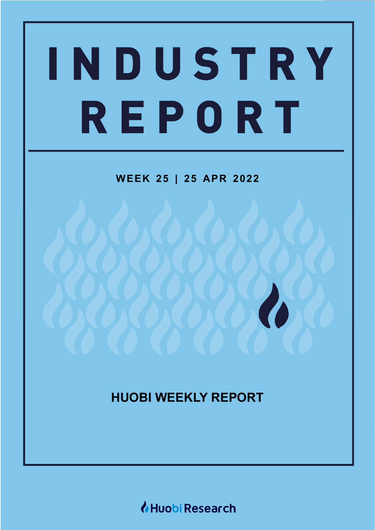# INDUSTRY REPORT

# **WEEK 25 | 25 APR 2022**

# **HUOBI WEEKLY REPORT**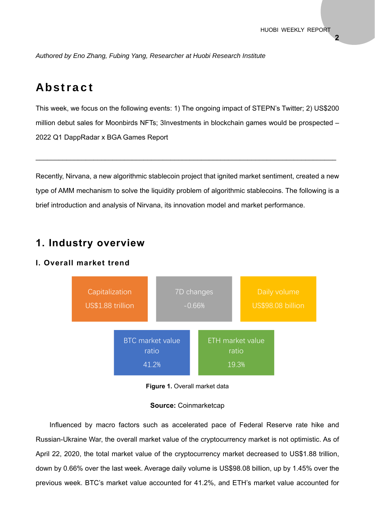*Authored by Eno Zhang, Fubing Yang, Researcher at Huobi Research Institute*

## Abstract

This week, we focus on the following events: 1) The ongoing impact of STEPN's Twitter; 2) US\$200 million debut sales for Moonbirds NFTs; 3Investments in blockchain games would be prospected – 2022 Q1 DappRadar x BGA Games Report

Recently, Nirvana, a new algorithmic stablecoin project that ignited market sentiment, created a new type of AMM mechanism to solve the liquidity problem of algorithmic stablecoins. The following is a brief introduction and analysis of Nirvana, its innovation model and market performance.

 $\mathcal{L}_\mathcal{L} = \mathcal{L}_\mathcal{L} = \mathcal{L}_\mathcal{L} = \mathcal{L}_\mathcal{L} = \mathcal{L}_\mathcal{L} = \mathcal{L}_\mathcal{L} = \mathcal{L}_\mathcal{L} = \mathcal{L}_\mathcal{L} = \mathcal{L}_\mathcal{L} = \mathcal{L}_\mathcal{L} = \mathcal{L}_\mathcal{L} = \mathcal{L}_\mathcal{L} = \mathcal{L}_\mathcal{L} = \mathcal{L}_\mathcal{L} = \mathcal{L}_\mathcal{L} = \mathcal{L}_\mathcal{L} = \mathcal{L}_\mathcal{L}$ 

## **1. Industry overview**

## **I. Overall market trend**





#### **Source:** Coinmarketcap

Influenced by macro factors such as accelerated pace of Federal Reserve rate hike and Russian-Ukraine War, the overall market value of the cryptocurrency market is not optimistic. As of April 22, 2020, the total market value of the cryptocurrency market decreased to US\$1.88 trillion, down by 0.66% over the last week. Average daily volume is US\$98.08 billion, up by 1.45% over the previous week. BTC's market value accounted for 41.2%, and ETH's market value accounted for

**2**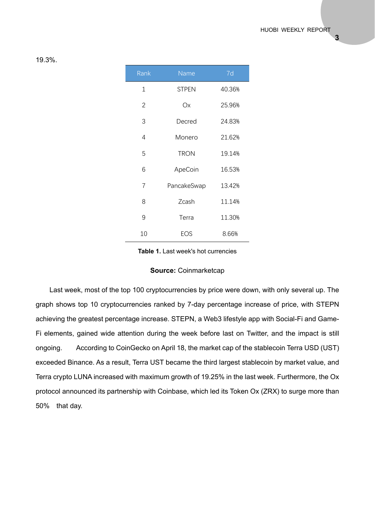| Rank           | Name         | 7d     |
|----------------|--------------|--------|
| 1              | <b>STPEN</b> | 40.36% |
| 2              | Оx           | 25.96% |
| 3              | Decred       | 24.83% |
| 4              | Monero       | 21.62% |
| 5              | <b>TRON</b>  | 19.14% |
| 6              | ApeCoin      | 16.53% |
| $\overline{7}$ | PancakeSwap  | 13.42% |
| 8              | Zcash        | 11.14% |
| 9              | Terra        | 11.30% |
| 10             | EOS          | 8.66%  |

#### 19.3%.

**Table 1.** Last week's hot currencies

#### **Source:** Coinmarketcap

Last week, most of the top 100 cryptocurrencies by price were down, with only several up. The graph shows top 10 cryptocurrencies ranked by 7-day percentage increase of price, with STEPN achieving the greatest percentage increase. STEPN, a Web3 lifestyle app with Social-Fi and Game-Fi elements, gained wide attention during the week before last on Twitter, and the impact is still ongoing. According to CoinGecko on April 18, the market cap of the stablecoin Terra USD (UST) exceeded Binance. As a result, Terra UST became the third largest stablecoin by market value, and Terra crypto LUNA increased with maximum growth of 19.25% in the last week. Furthermore, the Ox protocol announced its partnership with Coinbase, which led its Token Ox (ZRX) to surge more than 50% that day.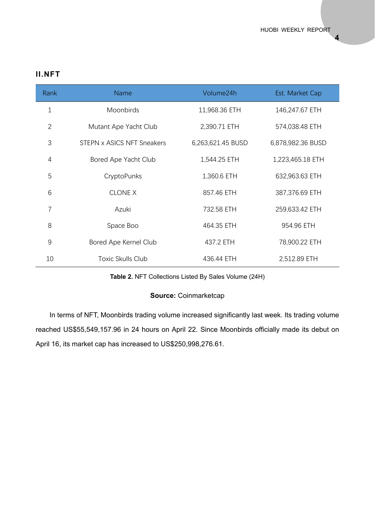**4** 

## **II.NFT**

| Rank           | <b>Name</b>                | Volume24h         | Est. Market Cap   |
|----------------|----------------------------|-------------------|-------------------|
| $\mathbf{1}$   | Moonbirds                  | 11,968.36 ETH     | 146,247.67 ETH    |
| $\overline{2}$ | Mutant Ape Yacht Club      | 2,390.71 ETH      | 574,038.48 ETH    |
| 3              | STEPN x ASICS NFT Sneakers | 6,263,621.45 BUSD | 6,878,982.36 BUSD |
| 4              | Bored Ape Yacht Club       | 1,544.25 ETH      | 1,223,465.18 ETH  |
| 5              | CryptoPunks                | 1,360.6 ETH       | 632,963.63 ETH    |
| 6              | <b>CLONE X</b>             | 857.46 ETH        | 387,376.69 ETH    |
| $\overline{7}$ | Azuki                      | 732.58 ETH        | 259,633.42 ETH    |
| 8              | Space Boo                  | 464.35 ETH        | 954.96 ETH        |
| 9              | Bored Ape Kernel Club      | 437.2 ETH         | 78,900.22 ETH     |
| 10             | Toxic Skulls Club          | 436.44 ETH        | 2,512.89 ETH      |

## **Table 2.** NFT Collections Listed By Sales Volume (24H)

#### **Source:** Coinmarketcap

In terms of NFT, Moonbirds trading volume increased significantly last week. Its trading volume reached US\$55,549,157.96 in 24 hours on April 22. Since Moonbirds officially made its debut on April 16, its market cap has increased to US\$250,998,276.61.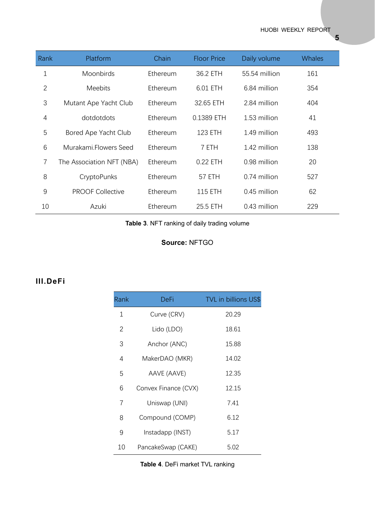HUOBI WEEKLY REPORT

| Rank         | Platform                  | Chain    | <b>Floor Price</b> | Daily volume  | <b>Whales</b> |
|--------------|---------------------------|----------|--------------------|---------------|---------------|
| $\mathbf 1$  | Moonbirds                 | Ethereum | 36.2 ETH           | 55.54 million | 161           |
| $\mathbf{2}$ | <b>Meebits</b>            | Ethereum | 6.01 ETH           | 6.84 million  | 354           |
| 3            | Mutant Ape Yacht Club     | Ethereum | 32.65 ETH          | 2.84 million  | 404           |
| 4            | dotdotdots                | Ethereum | 0.1389 ETH         | 1.53 million  | 41            |
| 5            | Bored Ape Yacht Club      | Ethereum | 123 ETH            | 1.49 million  | 493           |
| 6            | Murakami.Flowers Seed     | Ethereum | 7 ETH              | 1.42 million  | 138           |
| 7            | The Association NFT (NBA) | Ethereum | 0.22 ETH           | 0.98 million  | 20            |
| 8            | CryptoPunks               | Ethereum | 57 ETH             | 0.74 million  | 527           |
| 9            | <b>PROOF Collective</b>   | Ethereum | <b>115 ETH</b>     | 0.45 million  | 62            |
| 10           | Azuki                     | Ethereum | 25.5 ETH           | 0.43 million  | 229           |

**Table 3**. NFT ranking of daily trading volume

## **Source:** NFTGO

## **III.DeFi**

| Rank | DeFi                 | <b>TVL</b> in billions US\$ |
|------|----------------------|-----------------------------|
| 1    | Curve (CRV)          | 20.29                       |
| 2    | Lido (LDO)           | 18.61                       |
| 3    | Anchor (ANC)         | 15.88                       |
| 4    | MakerDAO (MKR)       | 14.02                       |
| 5    | AAVE (AAVE)          | 12.35                       |
| 6    | Convex Finance (CVX) | 12.15                       |
| 7    | Uniswap (UNI)        | 7.41                        |
| 8    | Compound (COMP)      | 6.12                        |
| 9    | Instadapp (INST)     | 5.17                        |
| 10   | PancakeSwap (CAKE)   | 5.02                        |

**5**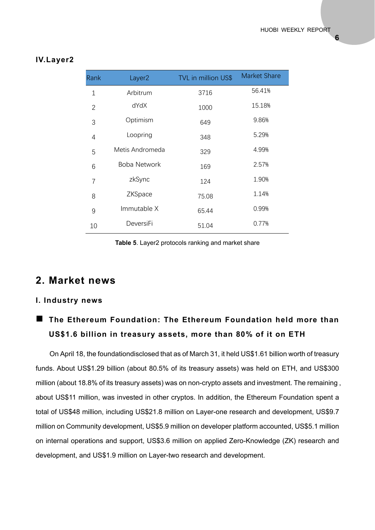#### **IV.Layer2**

| Rank           | Layer <sub>2</sub> | TVL in million US\$ | <b>Market Share</b> |
|----------------|--------------------|---------------------|---------------------|
| $\mathbf 1$    | Arbitrum           | 3716                | 56.41%              |
| $\overline{2}$ | dYdX               | 1000                | 15.18%              |
| 3              | Optimism           | 649                 | 9.86%               |
| 4              | Loopring           | 348                 | 5.29%               |
| 5              | Metis Andromeda    | 329                 | 4.99%               |
| 6              | Boba Network       | 169                 | 2.57%               |
| $\overline{7}$ | zkSync             | 124                 | 1.90%               |
| 8              | ZKSpace            | 75.08               | 1.14%               |
| 9              | Immutable X        | 65.44               | 0.99%               |
| 10             | DeversiFi          | 51.04               | 0.77%               |

**Table 5**. Layer2 protocols ranking and market share

## **2. Market news**

#### **I. Industry news**

## **The Ethereum Foundation: The Ethereum Foundation held more than US\$1.6 billion in treasury assets, more than 80% of it on ETH**

On April 18, the foundationdisclosed that as of March 31, it held US\$1.61 billion worth of treasury funds. About US\$1.29 billion (about 80.5% of its treasury assets) was held on ETH, and US\$300 million (about 18.8% of its treasury assets) was on non-crypto assets and investment. The remaining , about US\$11 million, was invested in other cryptos. In addition, the Ethereum Foundation spent a total of US\$48 million, including US\$21.8 million on Layer-one research and development, US\$9.7 million on Community development, US\$5.9 million on developer platform accounted, US\$5.1 million on internal operations and support, US\$3.6 million on applied Zero-Knowledge (ZK) research and development, and US\$1.9 million on Layer-two research and development.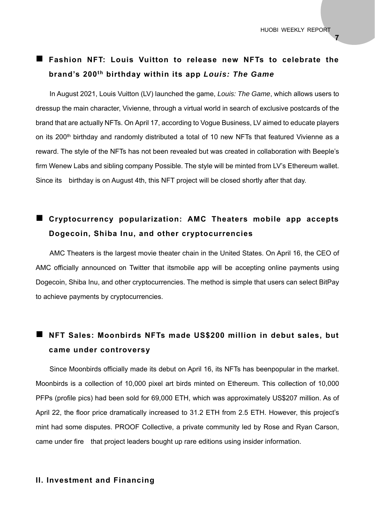**7** 

## **Fashion NFT: Louis Vuitton to release new NFTs to celebrate the brand's 200th birthday within its app** *Louis: The Game*

In August 2021, Louis Vuitton (LV) launched the game, *Louis: The Game*, which allows users to dressup the main character, Vivienne, through a virtual world in search of exclusive postcards of the brand that are actually NFTs. On April 17, according to Vogue Business, LV aimed to educate players on its 200<sup>th</sup> birthday and randomly distributed a total of 10 new NFTs that featured Vivienne as a reward. The style of the NFTs has not been revealed but was created in collaboration with Beeple's firm Wenew Labs and sibling company Possible. The style will be minted from LV's Ethereum wallet. Since its birthday is on August 4th, this NFT project will be closed shortly after that day.

## **Cryptocurrency popularization: AMC Theaters mobile app accepts Dogecoin, Shiba Inu, and other cryptocurrencies**

AMC Theaters is the largest movie theater chain in the United States. On April 16, the CEO of AMC officially announced on Twitter that itsmobile app will be accepting online payments using Dogecoin, Shiba Inu, and other cryptocurrencies. The method is simple that users can select BitPay to achieve payments by cryptocurrencies.

## ■ NFT Sales: Moonbirds NFTs made US\$200 million in debut sales, but **came under controversy**

Since Moonbirds officially made its debut on April 16, its NFTs has beenpopular in the market. Moonbirds is a collection of 10,000 pixel art birds minted on Ethereum. This collection of 10,000 PFPs (profile pics) had been sold for 69,000 ETH, which was approximately US\$207 million. As of April 22, the floor price dramatically increased to 31.2 ETH from 2.5 ETH. However, this project's mint had some disputes. PROOF Collective, a private community led by Rose and Ryan Carson, came under fire that project leaders bought up rare editions using insider information.

#### **II. Investment and Financing**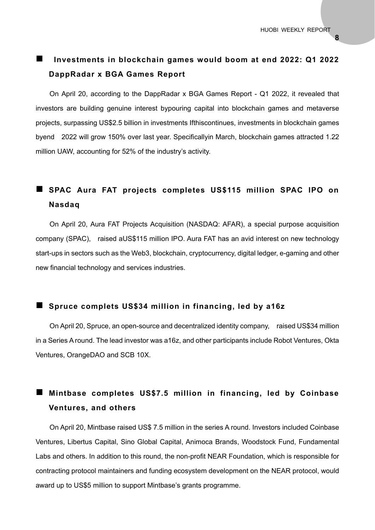## **Investments in blockchain games would boom at end 2022: Q1 2022 DappRadar x BGA Games Report**

On April 20, according to the DappRadar x BGA Games Report - Q1 2022, it revealed that investors are building genuine interest bypouring capital into blockchain games and metaverse projects, surpassing US\$2.5 billion in investments Ifthiscontinues, investments in blockchain games byend 2022 will grow 150% over last year. Specificallyin March, blockchain games attracted 1.22 million UAW, accounting for 52% of the industry's activity.

## **SPAC Aura FAT projects completes US\$115 million SPAC IPO on Nasdaq**

On April 20, Aura FAT Projects Acquisition (NASDAQ: AFAR), a special purpose acquisition company (SPAC), raised aUS\$115 million IPO. Aura FAT has an avid interest on new technology start-ups in sectors such as the Web3, blockchain, cryptocurrency, digital ledger, e-gaming and other new financial technology and services industries.

#### **Spruce complets US\$34 million in financing, led by a16z**

On April 20, Spruce, an open-source and decentralized identity company, raised US\$34 million in a Series A round. The lead investor was a16z, and other participants include Robot Ventures, Okta Ventures, OrangeDAO and SCB 10X.

## **Mintbase completes US\$7.5 million in financing, led by Coinbase Ventures, and others**

On April 20, Mintbase raised US\$ 7.5 million in the series A round. Investors included Coinbase Ventures, Libertus Capital, Sino Global Capital, Animoca Brands, Woodstock Fund, Fundamental Labs and others. In addition to this round, the non-profit NEAR Foundation, which is responsible for contracting protocol maintainers and funding ecosystem development on the NEAR protocol, would award up to US\$5 million to support Mintbase's grants programme.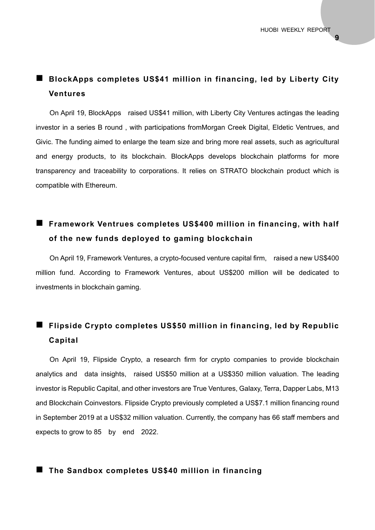## **BlockApps completes US\$41 million in financing, led by Liberty City Ventures**

On April 19, BlockApps raised US\$41 million, with Liberty City Ventures actingas the leading investor in a series B round , with participations fromMorgan Creek Digital, Eldetic Ventrues, and Givic. The funding aimed to enlarge the team size and bring more real assets, such as agricultural and energy products, to its blockchain. BlockApps develops blockchain platforms for more transparency and traceability to corporations. It relies on STRATO blockchain product which is compatible with Ethereum.

## **Framework Ventrues completes US\$400 million in financing, with half of the new funds deployed to gaming blockchain**

On April 19, Framework Ventures, a crypto-focused venture capital firm, raised a new US\$400 million fund. According to Framework Ventures, about US\$200 million will be dedicated to investments in blockchain gaming.

## **Flipside Crypto completes US\$50 million in financing, led by Republic Capital**

On April 19, Flipside Crypto, a research firm for crypto companies to provide blockchain analytics and data insights, raised US\$50 million at a US\$350 million valuation. The leading investor is Republic Capital, and other investors are True Ventures, Galaxy, Terra, Dapper Labs, M13 and Blockchain Coinvestors. Flipside Crypto previously completed a US\$7.1 million financing round in September 2019 at a US\$32 million valuation. Currently, the company has 66 staff members and expects to grow to 85 by end 2022.

#### **The Sandbox completes US\$40 million in financing**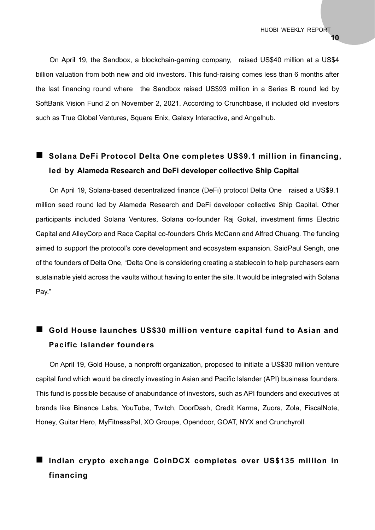On April 19, the Sandbox, a blockchain-gaming company, raised US\$40 million at a US\$4 billion valuation from both new and old investors. This fund-raising comes less than 6 months after the last financing round where the Sandbox raised US\$93 million in a Series B round led by SoftBank Vision Fund 2 on November 2, 2021. According to Crunchbase, it included old investors such as True Global Ventures, Square Enix, Galaxy Interactive, and Angelhub.

## ■ Solana DeFi Protocol Delta One completes US\$9.1 million in financing, **led by Alameda Research and DeFi developer collective Ship Capital**

On April 19, Solana-based decentralized finance (DeFi) protocol Delta One raised a US\$9.1 million seed round led by Alameda Research and DeFi developer collective Ship Capital. Other participants included Solana Ventures, Solana co-founder Raj Gokal, investment firms Electric Capital and AlleyCorp and Race Capital co-founders Chris McCann and Alfred Chuang. The funding aimed to support the protocol's core development and ecosystem expansion. SaidPaul Sengh, one of the founders of Delta One, "Delta One is considering creating a stablecoin to help purchasers earn sustainable yield across the vaults without having to enter the site. It would be integrated with Solana Pay."

## **Gold House launches US\$30 million venture capital fund to Asian and Pacific Islander founders**

On April 19, Gold House, a nonprofit organization, proposed to initiate a US\$30 million venture capital fund which would be directly investing in Asian and Pacific Islander (API) business founders. This fund is possible because of anabundance of investors, such as API founders and executives at brands like Binance Labs, YouTube, Twitch, DoorDash, Credit Karma, Zuora, Zola, FiscalNote, Honey, Guitar Hero, MyFitnessPal, XO Groupe, Opendoor, GOAT, NYX and Crunchyroll.

## **Indian crypto exchange CoinDCX completes over US\$135 million in financing**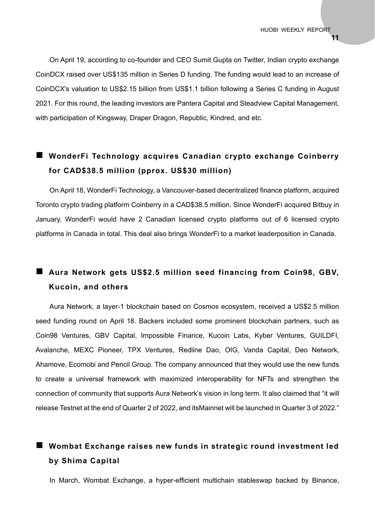On April 19, according to co-founder and CEO Sumit Gupta on Twitter, Indian crypto exchange CoinDCX raised over US\$135 million in Series D funding. The funding would lead to an increase of CoinDCX's valuation to US\$2.15 billion from US\$1.1 billion following a Series C funding in August 2021. For this round, the leading investors are Pantera Capital and Steadview Capital Management, with participation of Kingsway, Draper Dragon, Republic, Kindred, and etc.

## **WonderFi Technology acquires Canadian crypto exchange Coinberry for CAD\$38.5 million (pprox. US\$30 million)**

On April 18, WonderFi Technology, a Vancouver-based decentralized finance platform, acquired Toronto crypto trading platform Coinberry in a CAD\$38.5 million. Since WonderFi acquired Bitbuy in January, WonderFi would have 2 Canadian licensed crypto platforms out of 6 licensed crypto platforms in Canada in total. This deal also brings WonderFi to a market leaderposition in Canada.

## ■ Aura Network gets US\$2.5 million seed financing from Coin98, GBV, **Kucoin, and others**

Aura Network, a layer-1 blockchain based on Cosmos ecosystem, received a US\$2.5 million seed funding round on April 18. Backers included some prominent blockchain partners, such as Coin98 Ventures, GBV Capital, Impossible Finance, Kucoin Labs, Kyber Ventures, GUILDFI, Avalanche, MEXC Pioneer, TPX Ventures, Redline Dao, OIG, Vanda Capital, Deo Network, Ahamove, Ecomobi and Pencil Group. The company announced that they would use the new funds to create a universal framework with maximized interoperability for NFTs and strengthen the connection of community that supports Aura Network's vision in long term. It also claimed that "it will release Testnet at the end of Quarter 2 of 2022, and itsMainnet will be launched in Quarter 3 of 2022."

## **Wombat Exchange raises new funds in strategic round investment led by Shima Capital**

In March, Wombat Exchange, a hyper-efficient multichain stableswap backed by Binance,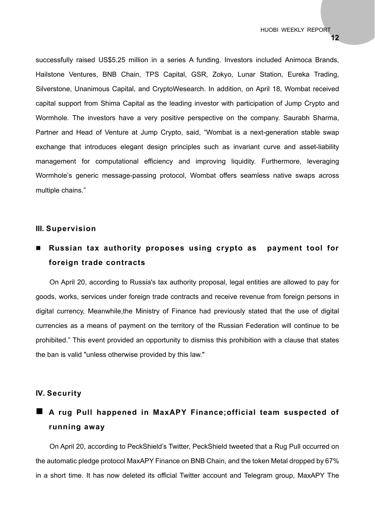successfully raised US\$5.25 million in a series A funding. Investors included Animoca Brands, Hailstone Ventures, BNB Chain, TPS Capital, GSR, Zokyo, Lunar Station, Eureka Trading, Silverstone, Unanimous Capital, and CryptoWesearch. In addition, on April 18, Wombat received capital support from Shima Capital as the leading investor with participation of Jump Crypto and Wormhole. The investors have a very positive perspective on the company. Saurabh Sharma, Partner and Head of Venture at Jump Crypto, said, "Wombat is a next-generation stable swap exchange that introduces elegant design principles such as invariant curve and asset-liability management for computational efficiency and improving liquidity. Furthermore, leveraging Wormhole's generic message-passing protocol, Wombat offers seamless native swaps across multiple chains."

#### **III. Supervision**

## **Russian tax authority proposes using crypto as payment tool for foreign trade contracts**

On April 20, according to Russia's tax authority proposal, legal entities are allowed to pay for goods, works, services under foreign trade contracts and receive revenue from foreign persons in digital currency, Meanwhile,the Ministry of Finance had previously stated that the use of digital currencies as a means of payment on the territory of the Russian Federation will continue to be prohibited." This event provided an opportunity to dismiss this prohibition with a clause that states the ban is valid "unless otherwise provided by this law."

#### **IV. Security**

## **A rug Pull happened in MaxAPY Finance;official team suspected of running away**

On April 20, according to PeckShield's Twitter, PeckShield tweeted that a Rug Pull occurred on the automatic pledge protocol MaxAPY Finance on BNB Chain, and the token Metal dropped by 67% in a short time. It has now deleted its official Twitter account and Telegram group, MaxAPY The

**12**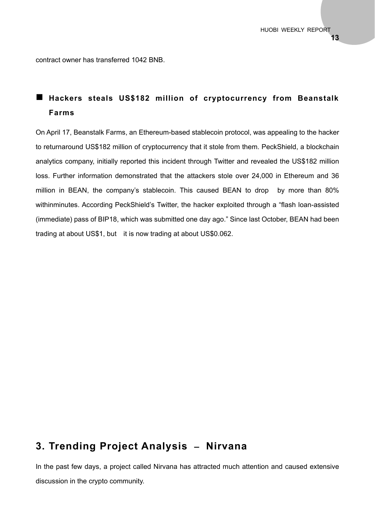contract owner has transferred 1042 BNB.

## **Hackers steals US\$182 million of cryptocurrency from Beanstalk Farms**

On April 17, Beanstalk Farms, an Ethereum-based stablecoin protocol, was appealing to the hacker to returnaround US\$182 million of cryptocurrency that it stole from them. PeckShield, a blockchain analytics company, initially reported this incident through Twitter and revealed the US\$182 million loss. Further information demonstrated that the attackers stole over 24,000 in Ethereum and 36 million in BEAN, the company's stablecoin. This caused BEAN to drop by more than 80% withinminutes. According PeckShield's Twitter, the hacker exploited through a "flash loan-assisted (immediate) pass of BIP18, which was submitted one day ago." Since last October, BEAN had been trading at about US\$1, but it is now trading at about US\$0.062.

## **3. Trending Project Analysis – Nirvana**

In the past few days, a project called Nirvana has attracted much attention and caused extensive discussion in the crypto community.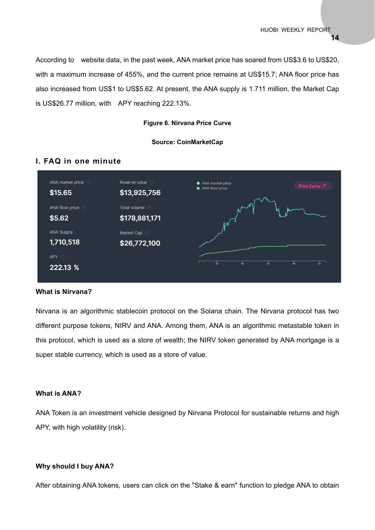According to website data, in the past week, ANA market price has soared from US\$3.6 to US\$20, with a maximum increase of 455%, and the current price remains at US\$15.7; ANA floor price has also increased from US\$1 to US\$5.62. At present, the ANA supply is 1.711 million, the Market Cap is US\$26.77 million, with APY reaching 222.13%.

#### **Figure 6. Nirvana Price Curve**

#### **Source: CoinMarketCap**

#### **I. FAQ in one minute**



#### **What is Nirvana?**

Nirvana is an algorithmic stablecoin protocol on the Solana chain. The Nirvana protocol has two different purpose tokens, NIRV and ANA. Among them, ANA is an algorithmic metastable token in this protocol, which is used as a store of wealth; the NIRV token generated by ANA mortgage is a super stable currency, which is used as a store of value.

#### **What is ANA?**

ANA Token is an investment vehicle designed by Nirvana Protocol for sustainable returns and high APY, with high volatility (risk).

#### **Why should I buy ANA?**

After obtaining ANA tokens, users can click on the "Stake & earn" function to pledge ANA to obtain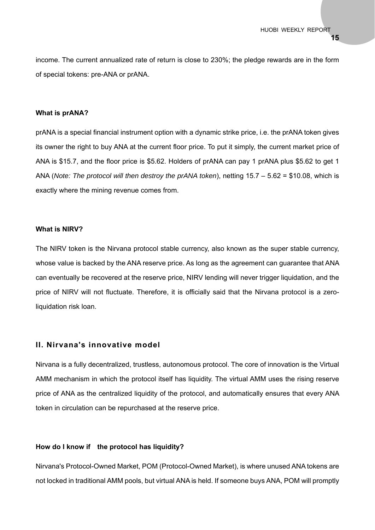income. The current annualized rate of return is close to 230%; the pledge rewards are in the form of special tokens: pre-ANA or prANA.

#### **What is prANA?**

prANA is a special financial instrument option with a dynamic strike price, i.e. the prANA token gives its owner the right to buy ANA at the current floor price. To put it simply, the current market price of ANA is \$15.7, and the floor price is \$5.62. Holders of prANA can pay 1 prANA plus \$5.62 to get 1 ANA (*Note: The protocol will then destroy the prANA token*), netting 15.7 – 5.62 = \$10.08, which is exactly where the mining revenue comes from.

#### **What is NIRV?**

The NIRV token is the Nirvana protocol stable currency, also known as the super stable currency, whose value is backed by the ANA reserve price. As long as the agreement can guarantee that ANA can eventually be recovered at the reserve price, NIRV lending will never trigger liquidation, and the price of NIRV will not fluctuate. Therefore, it is officially said that the Nirvana protocol is a zeroliquidation risk loan.

#### **II. Nirvana's innovative model**

Nirvana is a fully decentralized, trustless, autonomous protocol. The core of innovation is the Virtual AMM mechanism in which the protocol itself has liquidity. The virtual AMM uses the rising reserve price of ANA as the centralized liquidity of the protocol, and automatically ensures that every ANA token in circulation can be repurchased at the reserve price.

#### **How do I know if the protocol has liquidity?**

Nirvana's Protocol-Owned Market, POM (Protocol-Owned Market), is where unused ANA tokens are not locked in traditional AMM pools, but virtual ANA is held. If someone buys ANA, POM will promptly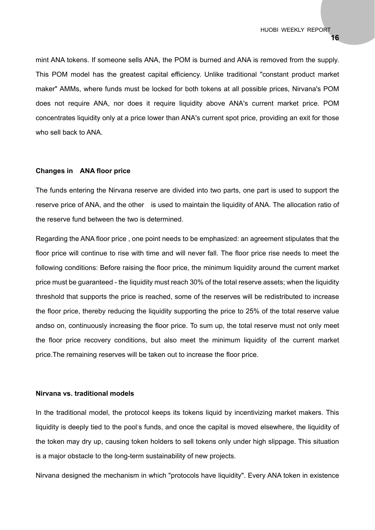mint ANA tokens. If someone sells ANA, the POM is burned and ANA is removed from the supply. This POM model has the greatest capital efficiency. Unlike traditional "constant product market maker" AMMs, where funds must be locked for both tokens at all possible prices, Nirvana's POM does not require ANA, nor does it require liquidity above ANA's current market price. POM concentrates liquidity only at a price lower than ANA's current spot price, providing an exit for those who sell back to ANA.

#### **Changes in ANA floor price**

The funds entering the Nirvana reserve are divided into two parts, one part is used to support the reserve price of ANA, and the other is used to maintain the liquidity of ANA. The allocation ratio of the reserve fund between the two is determined.

Regarding the ANA floor price , one point needs to be emphasized: an agreement stipulates that the floor price will continue to rise with time and will never fall. The floor price rise needs to meet the following conditions: Before raising the floor price, the minimum liquidity around the current market price must be guaranteed - the liquidity must reach 30% of the total reserve assets; when the liquidity threshold that supports the price is reached, some of the reserves will be redistributed to increase the floor price, thereby reducing the liquidity supporting the price to 25% of the total reserve value andso on, continuously increasing the floor price. To sum up, the total reserve must not only meet the floor price recovery conditions, but also meet the minimum liquidity of the current market price.The remaining reserves will be taken out to increase the floor price.

#### **Nirvana vs. traditional models**

In the traditional model, the protocol keeps its tokens liquid by incentivizing market makers. This liquidity is deeply tied to the pool's funds, and once the capital is moved elsewhere, the liquidity of the token may dry up, causing token holders to sell tokens only under high slippage. This situation is a major obstacle to the long-term sustainability of new projects.

Nirvana designed the mechanism in which "protocols have liquidity". Every ANA token in existence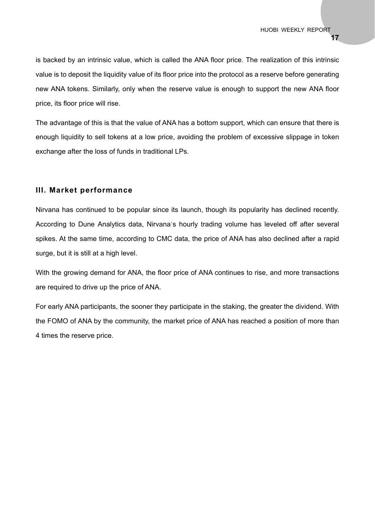is backed by an intrinsic value, which is called the ANA floor price. The realization of this intrinsic value is to deposit the liquidity value of its floor price into the protocol as a reserve before generating new ANA tokens. Similarly, only when the reserve value is enough to support the new ANA floor price, its floor price will rise.

The advantage of this is that the value of ANA has a bottom support, which can ensure that there is enough liquidity to sell tokens at a low price, avoiding the problem of excessive slippage in token exchange after the loss of funds in traditional LPs.

#### **III. Market performance**

Nirvana has continued to be popular since its launch, though its popularity has declined recently. According to Dune Analytics data, Nirvana's hourly trading volume has leveled off after several spikes. At the same time, according to CMC data, the price of ANA has also declined after a rapid surge, but it is still at a high level.

With the growing demand for ANA, the floor price of ANA continues to rise, and more transactions are required to drive up the price of ANA.

For early ANA participants, the sooner they participate in the staking, the greater the dividend. With the FOMO of ANA by the community, the market price of ANA has reached a position of more than 4 times the reserve price.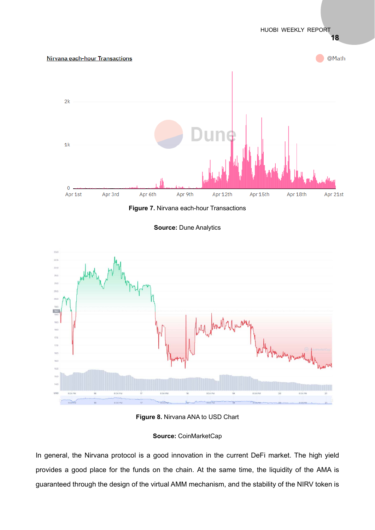

**Figure 7.** Nirvana each-hour Transactions





**Figure 8.** Nirvana ANA to USD Chart

## **Source:** CoinMarketCap

In general, the Nirvana protocol is a good innovation in the current DeFi market. The high yield provides a good place for the funds on the chain. At the same time, the liquidity of the AMA is guaranteed through the design of the virtual AMM mechanism, and the stability of the NIRV token is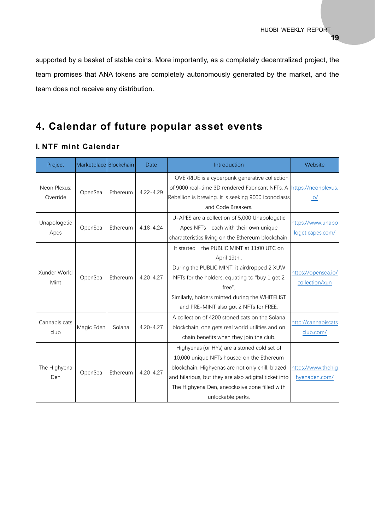supported by a basket of stable coins. More importantly, as a completely decentralized project, the team promises that ANA tokens are completely autonomously generated by the market, and the team does not receive any distribution.

## **4. Calendar of future popular asset events**

## **I. NTF mint Calendar**

| Project                  | Marketplace Blockchain |          | Date          | Introduction                                                                                                                                                                                                                                                                 | Website                               |
|--------------------------|------------------------|----------|---------------|------------------------------------------------------------------------------------------------------------------------------------------------------------------------------------------------------------------------------------------------------------------------------|---------------------------------------|
| Neon Plexus:<br>Override | OpenSea                | Ethereum | $4.22 - 4.29$ | OVERRIDE is a cyberpunk generative collection<br>of 9000 real-time 3D rendered Fabricant NFTs. A<br>Rebellion is brewing. It is seeking 9000 Iconoclasts<br>and Code Breakers.                                                                                               | https://neonplexus.<br>IO/            |
| Unapologetic<br>Apes     | OpenSea                | Ethereum | $4.18 - 4.24$ | U-APES are a collection of 5,000 Unapologetic<br>Apes NFTs-each with their own unique<br>characteristics living on the Ethereum blockchain.                                                                                                                                  | https://www.unapo<br>logeticapes.com/ |
| Xunder World<br>Mint     | OpenSea                | Ethereum | $4.20 - 4.27$ | It started the PUBLIC MINT at 11:00 UTC on<br>April 19th,.<br>During the PUBLIC MINT, it airdropped 2 XUW<br>NFTs for the holders, equating to "buy 1 get 2<br>free".<br>Similarly, holders minted during the WHITELIST<br>and PRE-MINT also got 2 NFTs for FREE.            | https://opensea.io/<br>collection/xun |
| Cannabis cats<br>club    | Magic Eden             | Solana   | $4.20 - 4.27$ | A collection of 4200 stoned cats on the Solana<br>blockchain, one gets real world utilities and on<br>chain benefits when they join the club.                                                                                                                                | http://cannabiscats<br>club.com/      |
| The Highyena<br>Den.     | OpenSea                | Ethereum | $4.20 - 4.27$ | Highyenas (or HYs) are a stoned cold set of<br>10,000 unique NFTs housed on the Ethereum<br>blockchain. Highyenas are not only chill, blazed<br>and hilarious, but they are also adigital ticket into<br>The Highyena Den, anexclusive zone filled with<br>unlockable perks. | https://www.thehig<br>hyenaden.com/   |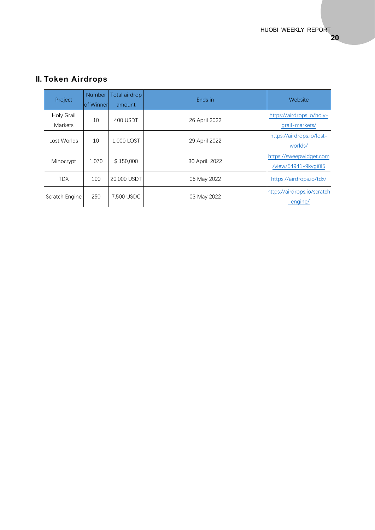#### Project Number of Winner Total airdrop amount Ends in Website Holy Grail Holy Grail 10 400 USDT 26 April 2022 https://airdrops.io/holy-<br>Markets grail-markets/ grail-markets/ Lost Worlds 10 1,000 LOST 29 April 2022 worlds/ Minocrypt 1,070 \$150,000 30 April, 2022 /view/54941-9kvgi0l5 TDX 100 20,000 USDT 06 May 2022 https://airdrops.io/tdx/ Scratch Engine 250 7,500 USDC 03 May 2022 https://airdrops.io/scratch -engine/

## **II. Token Airdrops**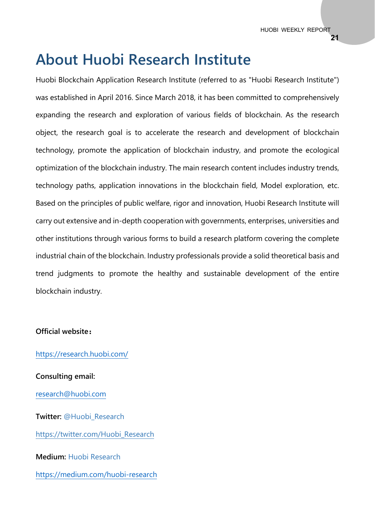# **About Huobi Research Institute**

Huobi Blockchain Application Research Institute (referred to as "Huobi Research Institute") was established in April 2016. Since March 2018, it has been committed to comprehensively expanding the research and exploration of various fields of blockchain. As the research object, the research goal is to accelerate the research and development of blockchain technology, promote the application of blockchain industry, and promote the ecological optimization of the blockchain industry. The main research content includes industry trends, technology paths, application innovations in the blockchain field, Model exploration, etc. Based on the principles of public welfare, rigor and innovation, Huobi Research Institute will carry out extensive and in-depth cooperation with governments, enterprises, universities and other institutions through various forms to build a research platform covering the complete industrial chain of the blockchain. Industry professionals provide a solid theoretical basis and trend judgments to promote the healthy and sustainable development of the entire blockchain industry.

#### **Official website:**

https://research.huobi.com/

**Consulting email:**  research@huobi.com **Twitter:** @Huobi\_Research https://twitter.com/Huobi\_Research **Medium:** Huobi Research https://medium.com/huobi-research